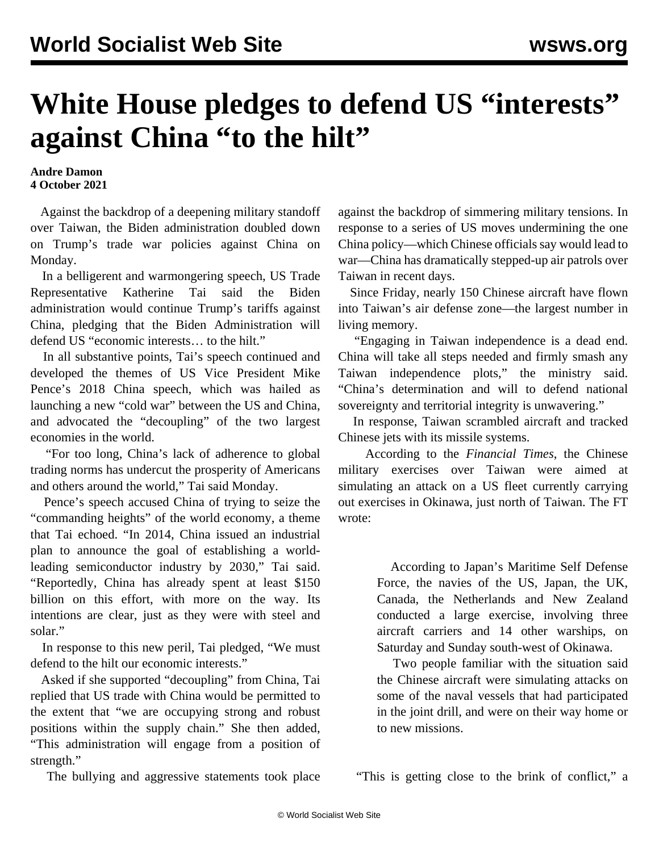## **White House pledges to defend US "interests" against China "to the hilt"**

## **Andre Damon 4 October 2021**

 Against the backdrop of a deepening military standoff over Taiwan, the Biden administration doubled down on Trump's trade war policies against China on Monday.

 In a belligerent and warmongering speech, US Trade Representative Katherine Tai said the Biden administration would continue Trump's tariffs against China, pledging that the Biden Administration will defend US "economic interests… to the hilt."

 In all substantive points, Tai's speech continued and developed the themes of US Vice President Mike Pence's 2018 China speech, which was hailed as launching a new "cold war" between the US and China, and advocated the "decoupling" of the two largest economies in the world.

 "For too long, China's lack of adherence to global trading norms has undercut the prosperity of Americans and others around the world," Tai said Monday.

 Pence's speech accused China of trying to seize the "commanding heights" of the world economy, a theme that Tai echoed. "In 2014, China issued an industrial plan to announce the goal of establishing a worldleading semiconductor industry by 2030," Tai said. "Reportedly, China has already spent at least \$150 billion on this effort, with more on the way. Its intentions are clear, just as they were with steel and solar."

 In response to this new peril, Tai pledged, "We must defend to the hilt our economic interests."

 Asked if she supported "decoupling" from China, Tai replied that US trade with China would be permitted to the extent that "we are occupying strong and robust positions within the supply chain." She then added, "This administration will engage from a position of strength."

The bullying and aggressive statements took place

against the backdrop of simmering military tensions. In response to a series of US moves undermining the one China policy—which Chinese officials say would lead to war—China has dramatically stepped-up air patrols over Taiwan in recent days.

 Since Friday, nearly 150 Chinese aircraft have flown into Taiwan's air defense zone—the largest number in living memory.

 "Engaging in Taiwan independence is a dead end. China will take all steps needed and firmly smash any Taiwan independence plots," the ministry said. "China's determination and will to defend national sovereignty and territorial integrity is unwavering."

 In response, Taiwan scrambled aircraft and tracked Chinese jets with its missile systems.

 According to the *Financial Times*, the Chinese military exercises over Taiwan were aimed at simulating an attack on a US fleet currently carrying out exercises in Okinawa, just north of Taiwan. The FT wrote:

> According to Japan's Maritime Self Defense Force, the navies of the US, Japan, the UK, Canada, the Netherlands and New Zealand conducted a large exercise, involving three aircraft carriers and 14 other warships, on Saturday and Sunday south-west of Okinawa.

> Two people familiar with the situation said the Chinese aircraft were simulating attacks on some of the naval vessels that had participated in the joint drill, and were on their way home or to new missions.

"This is getting close to the brink of conflict," a